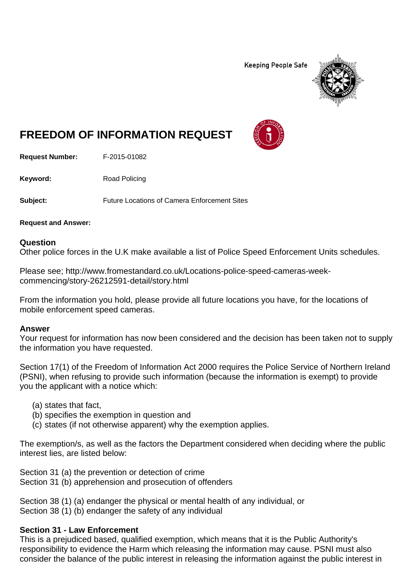**Keeping People Safe** 



# **FREEDOM OF INFORMATION REQUEST**

**Request Number:** F-2015-01082

Keyword: Road Policing

**Subject:** Future Locations of Camera Enforcement Sites

**Request and Answer:** 

## **Question**

Other police forces in the U.K make available a list of Police Speed Enforcement Units schedules.

Please see; http://www.fromestandard.co.uk/Locations-police-speed-cameras-weekcommencing/story-26212591-detail/story.html

From the information you hold, please provide all future locations you have, for the locations of mobile enforcement speed cameras.

## **Answer**

Your request for information has now been considered and the decision has been taken not to supply the information you have requested.

Section 17(1) of the Freedom of Information Act 2000 requires the Police Service of Northern Ireland (PSNI), when refusing to provide such information (because the information is exempt) to provide you the applicant with a notice which:

- (a) states that fact,
- (b) specifies the exemption in question and
- (c) states (if not otherwise apparent) why the exemption applies.

The exemption/s, as well as the factors the Department considered when deciding where the public interest lies, are listed below:

Section 31 (a) the prevention or detection of crime Section 31 (b) apprehension and prosecution of offenders

Section 38 (1) (a) endanger the physical or mental health of any individual, or Section 38 (1) (b) endanger the safety of any individual

## **Section 31 - Law Enforcement**

This is a prejudiced based, qualified exemption, which means that it is the Public Authority's responsibility to evidence the Harm which releasing the information may cause. PSNI must also consider the balance of the public interest in releasing the information against the public interest in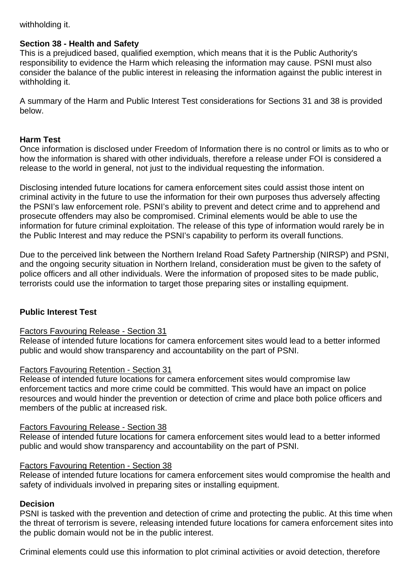# withholding it.

# **Section 38 - Health and Safety**

This is a prejudiced based, qualified exemption, which means that it is the Public Authority's responsibility to evidence the Harm which releasing the information may cause. PSNI must also consider the balance of the public interest in releasing the information against the public interest in withholding it.

A summary of the Harm and Public Interest Test considerations for Sections 31 and 38 is provided below.

# **Harm Test**

Once information is disclosed under Freedom of Information there is no control or limits as to who or how the information is shared with other individuals, therefore a release under FOI is considered a release to the world in general, not just to the individual requesting the information.

Disclosing intended future locations for camera enforcement sites could assist those intent on criminal activity in the future to use the information for their own purposes thus adversely affecting the PSNI's law enforcement role. PSNI's ability to prevent and detect crime and to apprehend and prosecute offenders may also be compromised. Criminal elements would be able to use the information for future criminal exploitation. The release of this type of information would rarely be in the Public Interest and may reduce the PSNI's capability to perform its overall functions.

Due to the perceived link between the Northern Ireland Road Safety Partnership (NIRSP) and PSNI, and the ongoing security situation in Northern Ireland, consideration must be given to the safety of police officers and all other individuals. Were the information of proposed sites to be made public, terrorists could use the information to target those preparing sites or installing equipment.

# **Public Interest Test**

# Factors Favouring Release - Section 31

Release of intended future locations for camera enforcement sites would lead to a better informed public and would show transparency and accountability on the part of PSNI.

# Factors Favouring Retention - Section 31

Release of intended future locations for camera enforcement sites would compromise law enforcement tactics and more crime could be committed. This would have an impact on police resources and would hinder the prevention or detection of crime and place both police officers and members of the public at increased risk.

# Factors Favouring Release - Section 38

Release of intended future locations for camera enforcement sites would lead to a better informed public and would show transparency and accountability on the part of PSNI.

# Factors Favouring Retention - Section 38

Release of intended future locations for camera enforcement sites would compromise the health and safety of individuals involved in preparing sites or installing equipment.

# **Decision**

PSNI is tasked with the prevention and detection of crime and protecting the public. At this time when the threat of terrorism is severe, releasing intended future locations for camera enforcement sites into the public domain would not be in the public interest.

Criminal elements could use this information to plot criminal activities or avoid detection, therefore